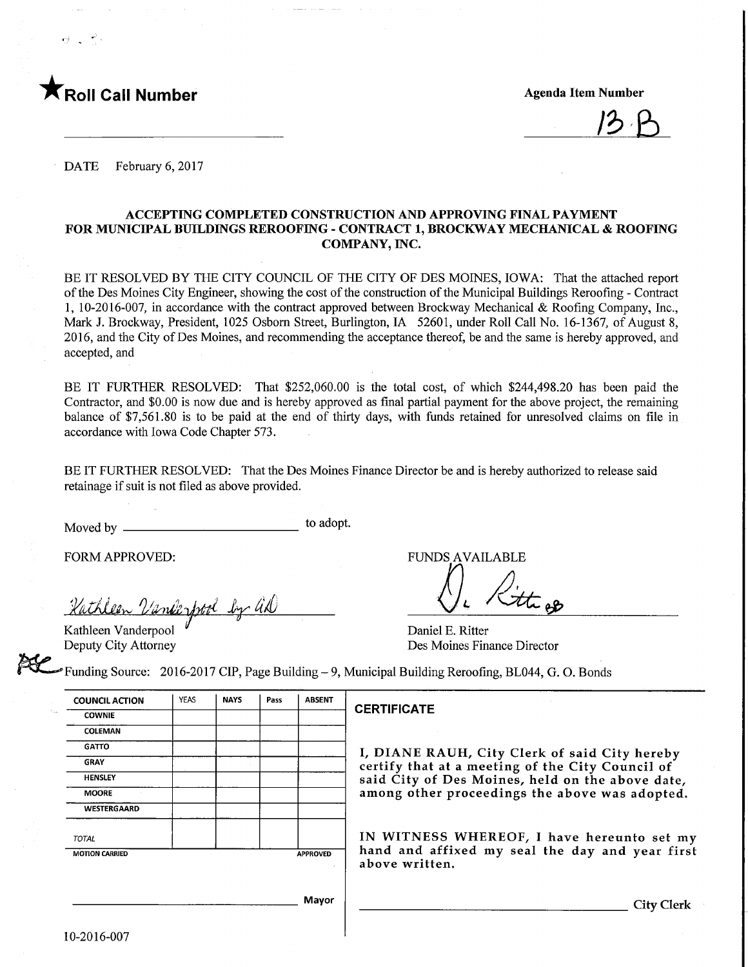

13 B

DATE February 6, 2017

### ACCEPTING COMPLETED CONSTRUCTION AND APPROVING FINAL PAYMENT FOR MUNICIPAL BUILDINGS REROOFING - CONTRACT 1, BROCKWAY MECHANICAL & ROOFING COMPANY, INC.

BE IT RESOLVED BY THE CITY COUNCIL OF THE CITY OF DES MOINES, IOWA: That the attached report of the Des Moines City Engineer, showing the cost of the construction of the Municipal Buildings Reroofing - Contract 1, 10-2016-007, in accordance with the contract approved between Brockway Mechanical & Roofing Company, Inc., Mark J. Brockway, President, 1025 Osborn Street, Burlington, IA 52601, under Roll Call No. 16-1367, of August 8, 2016, and the City of Des Moines, and recommending the acceptance thereof, be and the same is hereby approved, and accepted, and

BE IT FURTHER RESOLVED: That \$252,060.00 is the total cost, of which \$244,498.20 has been paid the Contractor, and \$0.00 is now due and is hereby approved as final partial payment for the above project, the remaining balance of \$7,561.80 is to be paid at the end of thirty days, with funds retained for unresolved claims on file in accordance with Iowa Code Chapter 573.

BE IT FURTHER RESOLVED: That the Des Moines Finance Director be and is hereby authorized to release said retainage if suit is not filed as above provided.

Moved by to adopt.

FORM APPROVED: THE RESERVED FUNDS AVAILABLE

Kathleen Vanderfrod by al

Kathleen Vanderpool Deputy City Attorney

Daniel E. Ritter Des Moines Finance Director

Funding Source: 2016-2017 CIP, Page Building - 9, Municipal Building Reroofing, BL044, G. 0. Bonds

| <b>COUNCIL ACTION</b> | <b>YEAS</b> | <b>NAYS</b> | Pass | <b>ABSENT</b>   |
|-----------------------|-------------|-------------|------|-----------------|
| <b>COWNIE</b>         |             |             |      |                 |
| COLEMAN               |             |             |      |                 |
| <b>GATTO</b>          |             |             |      |                 |
| <b>GRAY</b>           |             |             |      |                 |
| <b>HENSLEY</b>        |             |             |      |                 |
| <b>MOORE</b>          |             |             |      |                 |
| WESTERGAARD           |             |             |      |                 |
| <b>TOTAL</b>          |             |             |      |                 |
| <b>MOTION CARRIED</b> |             |             |      | <b>APPROVED</b> |
|                       |             |             |      |                 |
|                       |             |             |      | Mayor           |
|                       |             |             |      |                 |

### **ERTIFICATE**

DIANE RAUH, City Clerk of said City hereby certify that at a meeting of the City Council of aid City of Des Moines, held on the above date, mong other proceedings the above was adopted.

IN WITNESS WHEREOF, I have hereunto set my and and affixed my seal the day and year first bove written.

**City Clerk**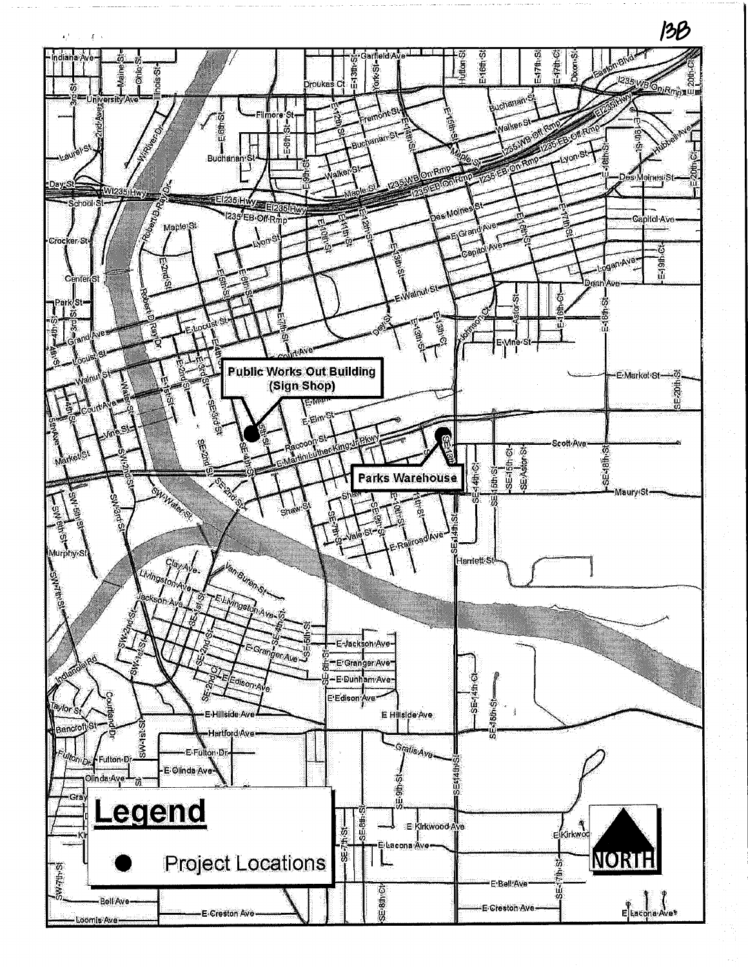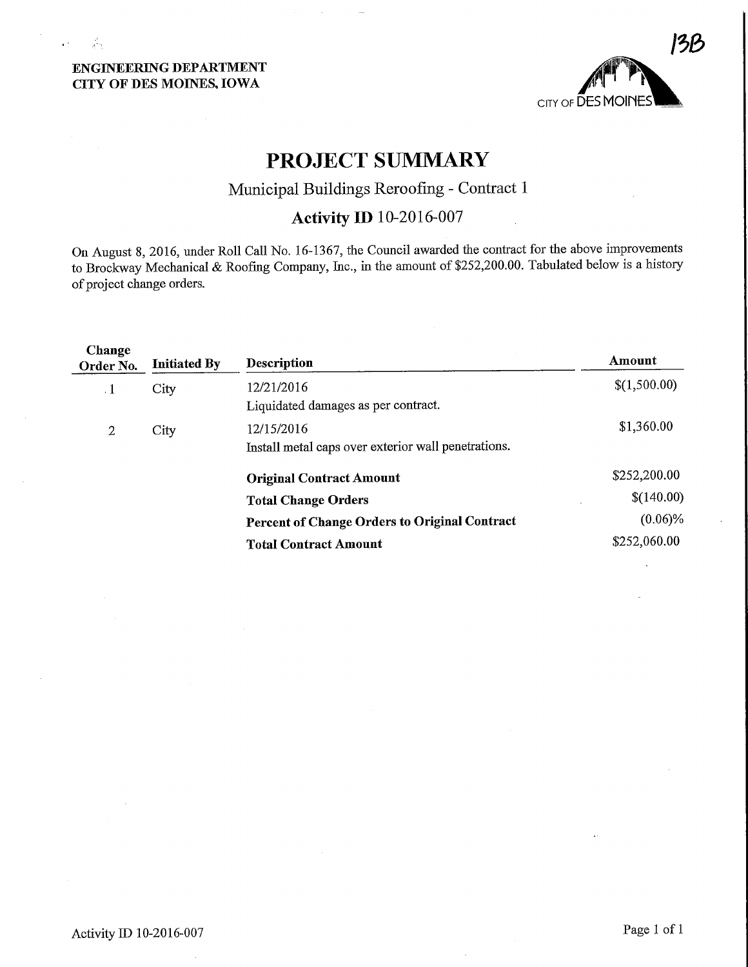# CITY OF DES MOmES, IOWA



# PROJECT SUMMARY

# Municipal Buildings Reroofing - Contract 1

# Activity ID 10-2016-007

On August 8, 2016, under Roll Call No. 16-1367, the Council awarded the contract for the above improvements to Brockway Mechanical & Roofing Company, Inc., in the amount of \$252,200.00. Tabulated below is a history of project change orders.

| Change<br>Order No. | <b>Initiated By</b> | <b>Description</b>                                   | Amount       |
|---------------------|---------------------|------------------------------------------------------|--------------|
| $\cdot$ 1           | City                | 12/21/2016                                           | \$(1,500.00) |
|                     |                     | Liquidated damages as per contract.                  |              |
| 2                   | City                | 12/15/2016                                           | \$1,360.00   |
|                     |                     | Install metal caps over exterior wall penetrations.  |              |
|                     |                     | <b>Original Contract Amount</b>                      | \$252,200.00 |
|                     |                     | <b>Total Change Orders</b>                           | \$(140.00)   |
|                     |                     | <b>Percent of Change Orders to Original Contract</b> | $(0.06)\%$   |
|                     |                     | <b>Total Contract Amount</b>                         | \$252,060.00 |
|                     |                     |                                                      |              |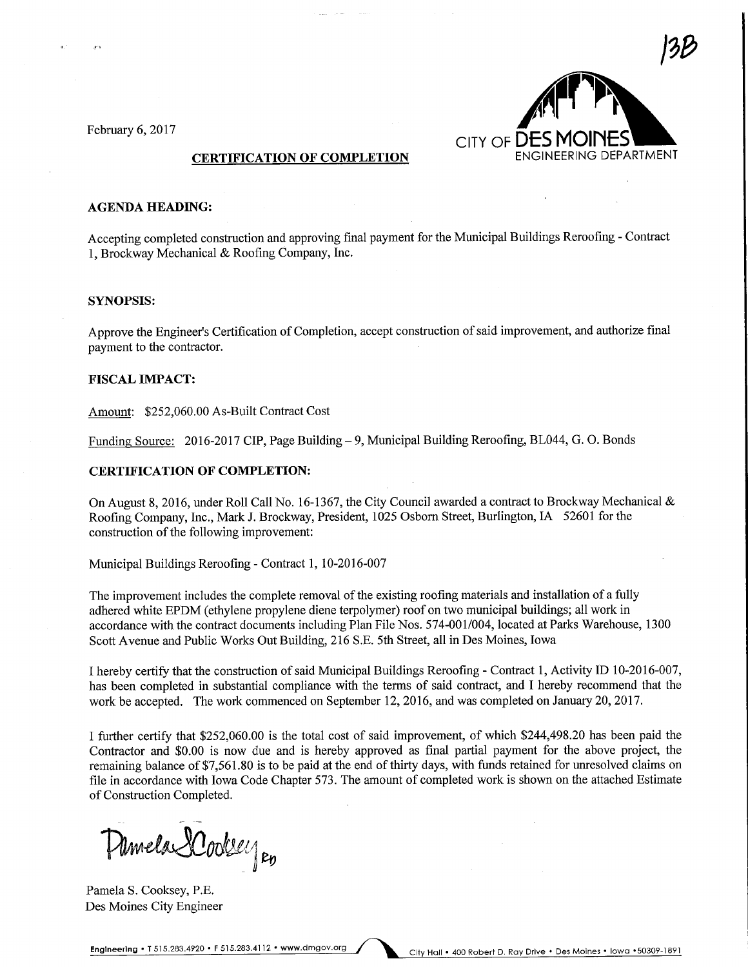

#### AGENDA HEADING:

Accepting completed construction and approving final payment for the Municipal Buildings Reroofing - Contract 1, Brockway Mechanical & Roofing Company, Inc.

#### SYNOPSIS:

Approve the Engineer's Certification of Completion, accept construction of said improvement, and authorize final payment to the contractor.

#### FISCAL IMPACT:

Amount: \$252,060.00 As-Built Contract Cost

Funding Source: 2016-2017 CIP, Page Building - 9, Municipal Building Reroofing, BL044, G. O. Bonds

#### CERTIFICATION OF COMPLETION:

On August 8, 2016, under Roll Call No. 16-1367, the City Council awarded a contract to Brockway Mechanical & Roofing Company, Inc., Mark J. Brockway, President, 1025 Osbom Street, Burlington, IA 52601 for the construction of the following improvement:

Municipal Buildings Reroofmg - Contract 1, 10-2016-007

The improvement includes the complete removal of the existing roofing materials and installation of a fully adhered white EPDM (ethylene propylene diene terpolymer) roof on two municipal buildings; all work in accordance with the contract documents including Plan File Nos. 574-001/004, located at Parks Warehouse, 1300 Scott Avenue and Public Works Out Building, 216 S.E. 5th Street, all in Des Moines, Iowa

I hereby certify that the construction of said Municipal Buildings Reroofing - Contract 1, Activity ID 10-2016-007, has been completed in substantial compliance with the terms of said contract, and I hereby recommend that the work be accepted. The work commenced on September 12, 2016, and was completed on January 20,2017.

I further certify that \$252,060.00 is the total cost of said improvement, of which \$244,498.20 has been paid the Contractor and \$0.00 is now due and is hereby approved as final partial payment for the above project, the remaining balance of \$7,561.80 is to be paid at the end of thirty days, with funds retained for unresolved claims on file in accordance with Iowa Code Chapter 573. The amount of completed work is shown on the attached Estimate of Construction Completed.

Umela 2 Coolsey po

Pamela S. Cooksey, P.E. Des Moines City Engineer